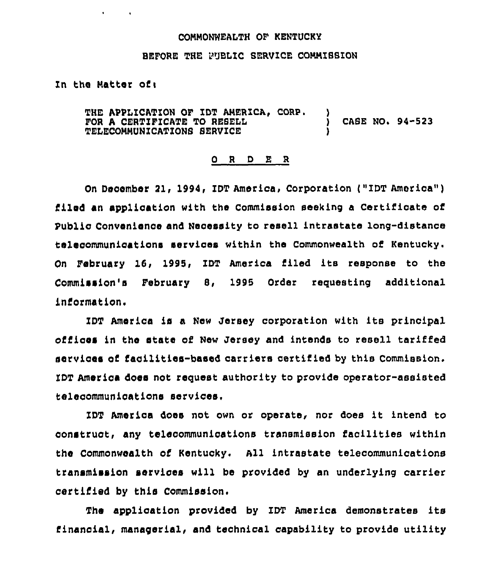## COHMONWEALTH OF KENTUCKY

## BEFORE THE PUBLIC SERVZCE COHHISSION

In the Hatter of <sup>i</sup>

 $\mathbf{r} = \mathbf{r} \times \mathbf{r}$  .

THE APPLICATION OF IDT AMERICA, CORP. FOR A CERTIFICATE TO RESELL TELECOHMUNICAT1ONS SERVICE ) CASE NO. 94-523 )

## 0 <sup>R</sup> <sup>D</sup> E R

On December 21, 1994, IDT America, Corporation ("IDT America") filed an application with the Commission seeking a Certificate of Public Convenience and Necessity to resell intrastate long-distance telecommunications services within the Commonwealth of Kentucky. On February 16, 1995, ZDT America filed its response to the Commission's February 8, 1995 Order requesting additional information.

ZDT America is a New Jersey corporation with its principal offices in the state of New Jersey and intends to resell tariffed services of facilities-based carriers certified by this Commission. IDT America does not request authority to provide operator-assisted telecommunications services,

ZDT America does not own or operate, nor does it intend to construct, any telecommunications transmission facilities within the Commonwealth of Kentucky. All intrastate telecommunications transmission services will be provided by an underlying carrier certified by this Commission.

The application provided by IDT America demonstrates its financial, managerial, and technical capability to provide utility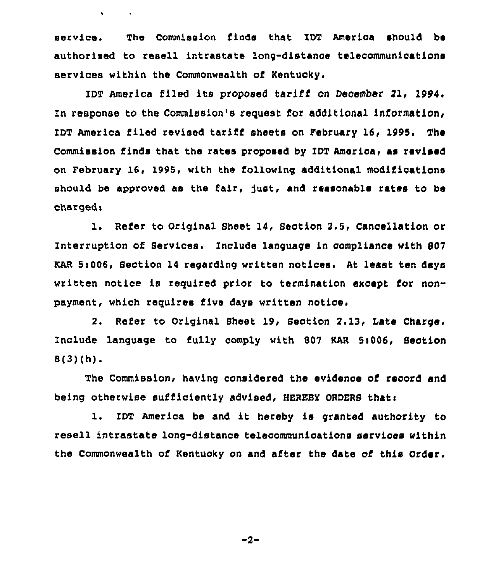service. The Commission finds that IDT America should be authorised to resell intrastate long-distance telecommunications services within the Commonwealth of Kentucky.

 $\bullet$  . The second second  $\bullet$ 

IDT America iiled its proposed tariff on December 21, 1994. In response to the Commission's request for additional information, IDT America filed revised tariff sheets on February 16, 1995. The Commission finds that the rates proposed by IDT America, as revised on February 16, 1995, with the following additional modifications should be approved as the fair, just, and reasonable rates to be charged<sub>1</sub>

1. Refer to Original Sheet 14, Section 2.5, Cancellation or Interruption of services. Include language in compliance with 807 KAR 5i006, Section 14 regarding written notices. At least ten days written notice is reguired prior to termination except for nonpayment, which requires five days written notice.

2. Refer to Original Sheet 19, Section 2.13, Late Charge. Include language to fully comply with 807 KAR 5:006, Section 8(3)(h).

The Commission, having considered the evidence of record and being otherwise sufficiently advised, HEREBY ORDERS that:

l. IDT America be and it hereby is granted authority to resell intrastate long-distance telecommunications services within the Commonwealth of Kentucky on and after the date of this Order.

 $-2-$